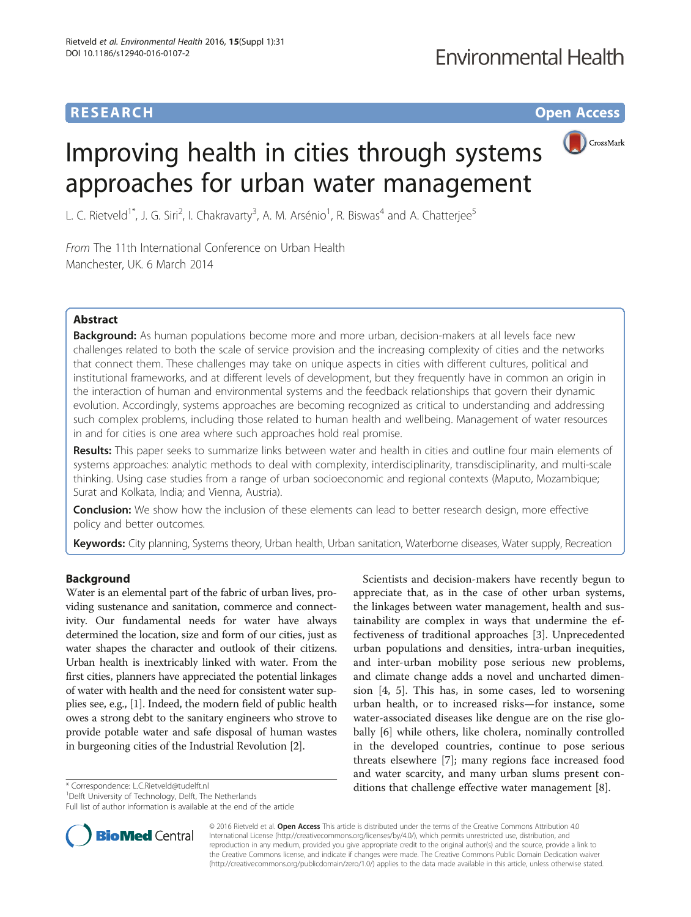# **RESEARCH CHE Open Access**



# Improving health in cities through systems approaches for urban water management

L. C. Rietveld<sup>1\*</sup>, J. G. Siri<sup>2</sup>, I. Chakravarty<sup>3</sup>, A. M. Arsénio<sup>1</sup>, R. Biswas<sup>4</sup> and A. Chatterjee<sup>5</sup>

From The 11th International Conference on Urban Health Manchester, UK. 6 March 2014

## Abstract

Background: As human populations become more and more urban, decision-makers at all levels face new challenges related to both the scale of service provision and the increasing complexity of cities and the networks that connect them. These challenges may take on unique aspects in cities with different cultures, political and institutional frameworks, and at different levels of development, but they frequently have in common an origin in the interaction of human and environmental systems and the feedback relationships that govern their dynamic evolution. Accordingly, systems approaches are becoming recognized as critical to understanding and addressing such complex problems, including those related to human health and wellbeing. Management of water resources in and for cities is one area where such approaches hold real promise.

Results: This paper seeks to summarize links between water and health in cities and outline four main elements of systems approaches: analytic methods to deal with complexity, interdisciplinarity, transdisciplinarity, and multi-scale thinking. Using case studies from a range of urban socioeconomic and regional contexts (Maputo, Mozambique; Surat and Kolkata, India; and Vienna, Austria).

**Conclusion:** We show how the inclusion of these elements can lead to better research design, more effective policy and better outcomes.

Keywords: City planning, Systems theory, Urban health, Urban sanitation, Waterborne diseases, Water supply, Recreation

# Background

Water is an elemental part of the fabric of urban lives, providing sustenance and sanitation, commerce and connectivity. Our fundamental needs for water have always determined the location, size and form of our cities, just as water shapes the character and outlook of their citizens. Urban health is inextricably linked with water. From the first cities, planners have appreciated the potential linkages of water with health and the need for consistent water supplies see, e.g., [\[1\]](#page-7-0). Indeed, the modern field of public health owes a strong debt to the sanitary engineers who strove to provide potable water and safe disposal of human wastes in burgeoning cities of the Industrial Revolution [\[2\]](#page-8-0).

<sup>1</sup> Delft University of Technology, Delft, The Netherlands

Full list of author information is available at the end of the article



© 2016 Rietveld et al. **Open Access** This article is distributed under the terms of the Creative Commons Attribution 4.0 International License [\(http://creativecommons.org/licenses/by/4.0/](http://creativecommons.org/licenses/by/4.0/)), which permits unrestricted use, distribution, and reproduction in any medium, provided you give appropriate credit to the original author(s) and the source, provide a link to the Creative Commons license, and indicate if changes were made. The Creative Commons Public Domain Dedication waiver [\(http://creativecommons.org/publicdomain/zero/1.0/](http://creativecommons.org/publicdomain/zero/1.0/)) applies to the data made available in this article, unless otherwise stated.

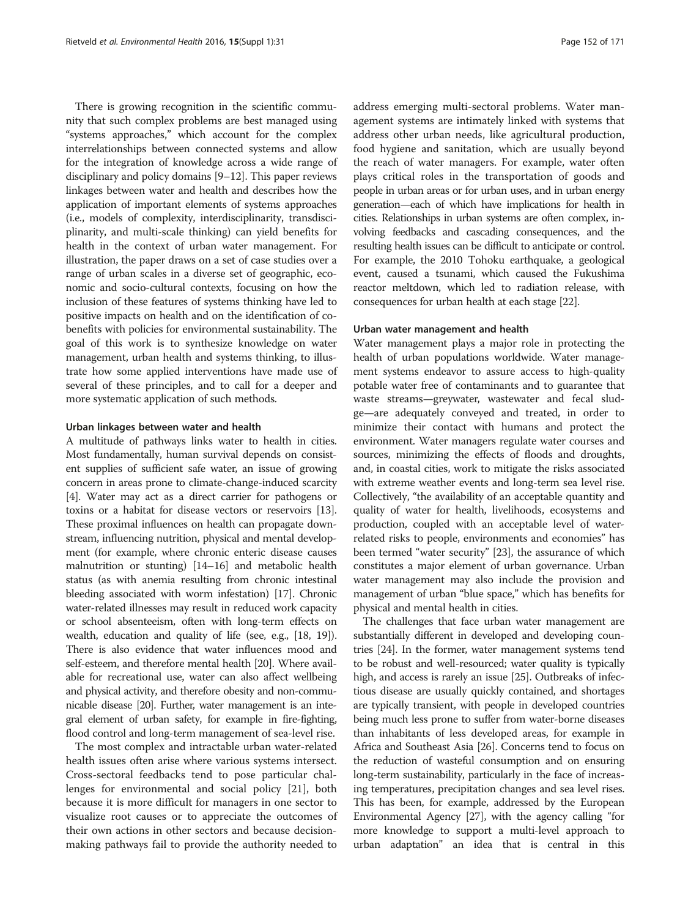There is growing recognition in the scientific community that such complex problems are best managed using "systems approaches," which account for the complex interrelationships between connected systems and allow for the integration of knowledge across a wide range of disciplinary and policy domains [[9](#page-8-0)–[12](#page-8-0)]. This paper reviews linkages between water and health and describes how the application of important elements of systems approaches (i.e., models of complexity, interdisciplinarity, transdisciplinarity, and multi-scale thinking) can yield benefits for health in the context of urban water management. For illustration, the paper draws on a set of case studies over a range of urban scales in a diverse set of geographic, economic and socio-cultural contexts, focusing on how the inclusion of these features of systems thinking have led to positive impacts on health and on the identification of cobenefits with policies for environmental sustainability. The goal of this work is to synthesize knowledge on water management, urban health and systems thinking, to illustrate how some applied interventions have made use of several of these principles, and to call for a deeper and more systematic application of such methods.

#### Urban linkages between water and health

A multitude of pathways links water to health in cities. Most fundamentally, human survival depends on consistent supplies of sufficient safe water, an issue of growing concern in areas prone to climate-change-induced scarcity [[4\]](#page-8-0). Water may act as a direct carrier for pathogens or toxins or a habitat for disease vectors or reservoirs [[13](#page-8-0)]. These proximal influences on health can propagate downstream, influencing nutrition, physical and mental development (for example, where chronic enteric disease causes malnutrition or stunting) [\[14](#page-8-0)–[16](#page-8-0)] and metabolic health status (as with anemia resulting from chronic intestinal bleeding associated with worm infestation) [\[17\]](#page-8-0). Chronic water-related illnesses may result in reduced work capacity or school absenteeism, often with long-term effects on wealth, education and quality of life (see, e.g., [[18](#page-8-0), [19](#page-8-0)]). There is also evidence that water influences mood and self-esteem, and therefore mental health [\[20\]](#page-8-0). Where available for recreational use, water can also affect wellbeing and physical activity, and therefore obesity and non-communicable disease [\[20\]](#page-8-0). Further, water management is an integral element of urban safety, for example in fire-fighting, flood control and long-term management of sea-level rise.

The most complex and intractable urban water-related health issues often arise where various systems intersect. Cross-sectoral feedbacks tend to pose particular challenges for environmental and social policy [\[21](#page-8-0)], both because it is more difficult for managers in one sector to visualize root causes or to appreciate the outcomes of their own actions in other sectors and because decisionmaking pathways fail to provide the authority needed to

address emerging multi-sectoral problems. Water management systems are intimately linked with systems that address other urban needs, like agricultural production, food hygiene and sanitation, which are usually beyond the reach of water managers. For example, water often plays critical roles in the transportation of goods and people in urban areas or for urban uses, and in urban energy generation—each of which have implications for health in cities. Relationships in urban systems are often complex, involving feedbacks and cascading consequences, and the resulting health issues can be difficult to anticipate or control. For example, the 2010 Tohoku earthquake, a geological event, caused a tsunami, which caused the Fukushima reactor meltdown, which led to radiation release, with consequences for urban health at each stage [\[22\]](#page-8-0).

## Urban water management and health

Water management plays a major role in protecting the health of urban populations worldwide. Water management systems endeavor to assure access to high-quality potable water free of contaminants and to guarantee that waste streams—greywater, wastewater and fecal sludge—are adequately conveyed and treated, in order to minimize their contact with humans and protect the environment. Water managers regulate water courses and sources, minimizing the effects of floods and droughts, and, in coastal cities, work to mitigate the risks associated with extreme weather events and long-term sea level rise. Collectively, "the availability of an acceptable quantity and quality of water for health, livelihoods, ecosystems and production, coupled with an acceptable level of waterrelated risks to people, environments and economies" has been termed "water security" [[23](#page-8-0)], the assurance of which constitutes a major element of urban governance. Urban water management may also include the provision and management of urban "blue space," which has benefits for physical and mental health in cities.

The challenges that face urban water management are substantially different in developed and developing countries [\[24\]](#page-8-0). In the former, water management systems tend to be robust and well-resourced; water quality is typically high, and access is rarely an issue [[25](#page-8-0)]. Outbreaks of infectious disease are usually quickly contained, and shortages are typically transient, with people in developed countries being much less prone to suffer from water-borne diseases than inhabitants of less developed areas, for example in Africa and Southeast Asia [\[26\]](#page-8-0). Concerns tend to focus on the reduction of wasteful consumption and on ensuring long-term sustainability, particularly in the face of increasing temperatures, precipitation changes and sea level rises. This has been, for example, addressed by the European Environmental Agency [[27](#page-8-0)], with the agency calling "for more knowledge to support a multi-level approach to urban adaptation" an idea that is central in this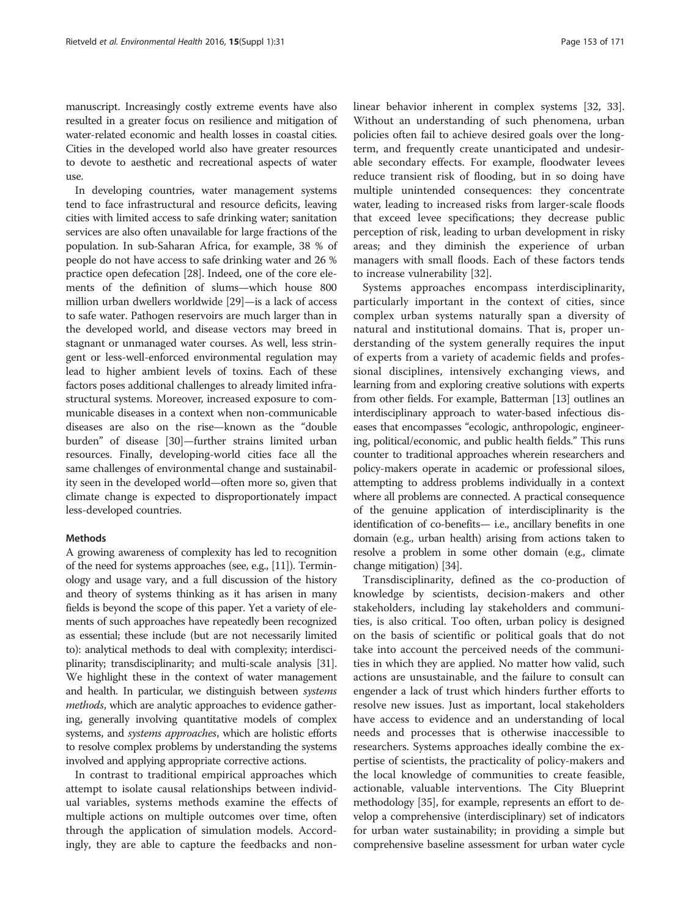manuscript. Increasingly costly extreme events have also resulted in a greater focus on resilience and mitigation of water-related economic and health losses in coastal cities. Cities in the developed world also have greater resources to devote to aesthetic and recreational aspects of water use.

In developing countries, water management systems tend to face infrastructural and resource deficits, leaving cities with limited access to safe drinking water; sanitation services are also often unavailable for large fractions of the population. In sub-Saharan Africa, for example, 38 % of people do not have access to safe drinking water and 26 % practice open defecation [\[28\]](#page-8-0). Indeed, one of the core elements of the definition of slums—which house 800 million urban dwellers worldwide [\[29\]](#page-8-0)—is a lack of access to safe water. Pathogen reservoirs are much larger than in the developed world, and disease vectors may breed in stagnant or unmanaged water courses. As well, less stringent or less-well-enforced environmental regulation may lead to higher ambient levels of toxins. Each of these factors poses additional challenges to already limited infrastructural systems. Moreover, increased exposure to communicable diseases in a context when non-communicable diseases are also on the rise—known as the "double burden" of disease [[30](#page-8-0)]—further strains limited urban resources. Finally, developing-world cities face all the same challenges of environmental change and sustainability seen in the developed world—often more so, given that climate change is expected to disproportionately impact less-developed countries.

## Methods

A growing awareness of complexity has led to recognition of the need for systems approaches (see, e.g., [\[11\]](#page-8-0)). Terminology and usage vary, and a full discussion of the history and theory of systems thinking as it has arisen in many fields is beyond the scope of this paper. Yet a variety of elements of such approaches have repeatedly been recognized as essential; these include (but are not necessarily limited to): analytical methods to deal with complexity; interdisciplinarity; transdisciplinarity; and multi-scale analysis [\[31](#page-8-0)]. We highlight these in the context of water management and health. In particular, we distinguish between systems methods, which are analytic approaches to evidence gathering, generally involving quantitative models of complex systems, and systems approaches, which are holistic efforts to resolve complex problems by understanding the systems involved and applying appropriate corrective actions.

In contrast to traditional empirical approaches which attempt to isolate causal relationships between individual variables, systems methods examine the effects of multiple actions on multiple outcomes over time, often through the application of simulation models. Accordingly, they are able to capture the feedbacks and nonlinear behavior inherent in complex systems [\[32](#page-8-0), [33](#page-8-0)]. Without an understanding of such phenomena, urban policies often fail to achieve desired goals over the longterm, and frequently create unanticipated and undesirable secondary effects. For example, floodwater levees reduce transient risk of flooding, but in so doing have multiple unintended consequences: they concentrate water, leading to increased risks from larger-scale floods that exceed levee specifications; they decrease public perception of risk, leading to urban development in risky areas; and they diminish the experience of urban managers with small floods. Each of these factors tends to increase vulnerability [[32\]](#page-8-0).

Systems approaches encompass interdisciplinarity, particularly important in the context of cities, since complex urban systems naturally span a diversity of natural and institutional domains. That is, proper understanding of the system generally requires the input of experts from a variety of academic fields and professional disciplines, intensively exchanging views, and learning from and exploring creative solutions with experts from other fields. For example, Batterman [\[13](#page-8-0)] outlines an interdisciplinary approach to water-based infectious diseases that encompasses "ecologic, anthropologic, engineering, political/economic, and public health fields." This runs counter to traditional approaches wherein researchers and policy-makers operate in academic or professional siloes, attempting to address problems individually in a context where all problems are connected. A practical consequence of the genuine application of interdisciplinarity is the identification of co-benefits— i.e., ancillary benefits in one domain (e.g., urban health) arising from actions taken to resolve a problem in some other domain (e.g., climate change mitigation) [[34](#page-8-0)].

Transdisciplinarity, defined as the co-production of knowledge by scientists, decision-makers and other stakeholders, including lay stakeholders and communities, is also critical. Too often, urban policy is designed on the basis of scientific or political goals that do not take into account the perceived needs of the communities in which they are applied. No matter how valid, such actions are unsustainable, and the failure to consult can engender a lack of trust which hinders further efforts to resolve new issues. Just as important, local stakeholders have access to evidence and an understanding of local needs and processes that is otherwise inaccessible to researchers. Systems approaches ideally combine the expertise of scientists, the practicality of policy-makers and the local knowledge of communities to create feasible, actionable, valuable interventions. The City Blueprint methodology [\[35\]](#page-8-0), for example, represents an effort to develop a comprehensive (interdisciplinary) set of indicators for urban water sustainability; in providing a simple but comprehensive baseline assessment for urban water cycle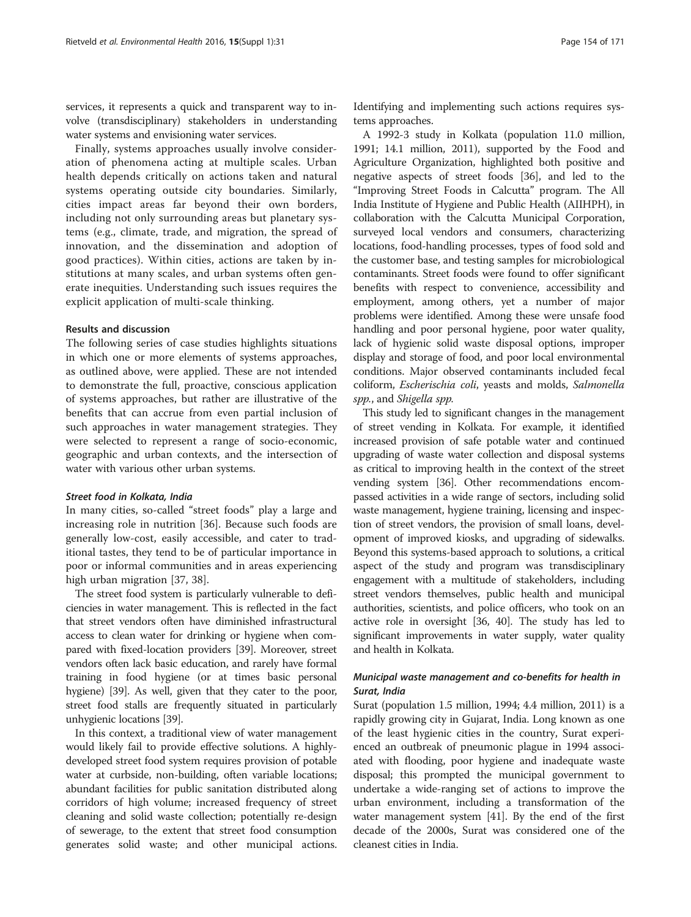services, it represents a quick and transparent way to involve (transdisciplinary) stakeholders in understanding water systems and envisioning water services.

Finally, systems approaches usually involve consideration of phenomena acting at multiple scales. Urban health depends critically on actions taken and natural systems operating outside city boundaries. Similarly, cities impact areas far beyond their own borders, including not only surrounding areas but planetary systems (e.g., climate, trade, and migration, the spread of innovation, and the dissemination and adoption of good practices). Within cities, actions are taken by institutions at many scales, and urban systems often generate inequities. Understanding such issues requires the explicit application of multi-scale thinking.

## Results and discussion

The following series of case studies highlights situations in which one or more elements of systems approaches, as outlined above, were applied. These are not intended to demonstrate the full, proactive, conscious application of systems approaches, but rather are illustrative of the benefits that can accrue from even partial inclusion of such approaches in water management strategies. They were selected to represent a range of socio-economic, geographic and urban contexts, and the intersection of water with various other urban systems.

## Street food in Kolkata, India

In many cities, so-called "street foods" play a large and increasing role in nutrition [\[36](#page-8-0)]. Because such foods are generally low-cost, easily accessible, and cater to traditional tastes, they tend to be of particular importance in poor or informal communities and in areas experiencing high urban migration [\[37](#page-8-0), [38](#page-8-0)].

The street food system is particularly vulnerable to deficiencies in water management. This is reflected in the fact that street vendors often have diminished infrastructural access to clean water for drinking or hygiene when compared with fixed-location providers [\[39\]](#page-8-0). Moreover, street vendors often lack basic education, and rarely have formal training in food hygiene (or at times basic personal hygiene) [\[39\]](#page-8-0). As well, given that they cater to the poor, street food stalls are frequently situated in particularly unhygienic locations [\[39\]](#page-8-0).

In this context, a traditional view of water management would likely fail to provide effective solutions. A highlydeveloped street food system requires provision of potable water at curbside, non-building, often variable locations; abundant facilities for public sanitation distributed along corridors of high volume; increased frequency of street cleaning and solid waste collection; potentially re-design of sewerage, to the extent that street food consumption generates solid waste; and other municipal actions.

A 1992-3 study in Kolkata (population 11.0 million, 1991; 14.1 million, 2011), supported by the Food and Agriculture Organization, highlighted both positive and negative aspects of street foods [[36](#page-8-0)], and led to the "Improving Street Foods in Calcutta" program. The All India Institute of Hygiene and Public Health (AIIHPH), in collaboration with the Calcutta Municipal Corporation, surveyed local vendors and consumers, characterizing locations, food-handling processes, types of food sold and the customer base, and testing samples for microbiological contaminants. Street foods were found to offer significant benefits with respect to convenience, accessibility and employment, among others, yet a number of major problems were identified. Among these were unsafe food handling and poor personal hygiene, poor water quality, lack of hygienic solid waste disposal options, improper display and storage of food, and poor local environmental conditions. Major observed contaminants included fecal coliform, Escherischia coli, yeasts and molds, Salmonella spp., and Shigella spp.

This study led to significant changes in the management of street vending in Kolkata. For example, it identified increased provision of safe potable water and continued upgrading of waste water collection and disposal systems as critical to improving health in the context of the street vending system [\[36\]](#page-8-0). Other recommendations encompassed activities in a wide range of sectors, including solid waste management, hygiene training, licensing and inspection of street vendors, the provision of small loans, development of improved kiosks, and upgrading of sidewalks. Beyond this systems-based approach to solutions, a critical aspect of the study and program was transdisciplinary engagement with a multitude of stakeholders, including street vendors themselves, public health and municipal authorities, scientists, and police officers, who took on an active role in oversight [[36](#page-8-0), [40](#page-8-0)]. The study has led to significant improvements in water supply, water quality and health in Kolkata.

## Municipal waste management and co-benefits for health in Surat, India

Surat (population 1.5 million, 1994; 4.4 million, 2011) is a rapidly growing city in Gujarat, India. Long known as one of the least hygienic cities in the country, Surat experienced an outbreak of pneumonic plague in 1994 associated with flooding, poor hygiene and inadequate waste disposal; this prompted the municipal government to undertake a wide-ranging set of actions to improve the urban environment, including a transformation of the water management system [[41](#page-8-0)]. By the end of the first decade of the 2000s, Surat was considered one of the cleanest cities in India.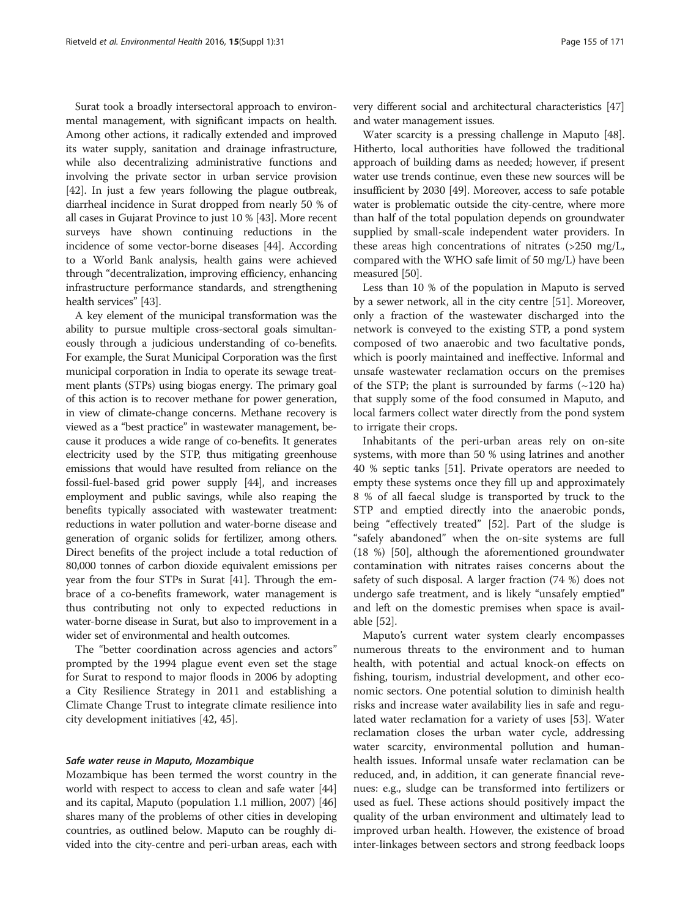Surat took a broadly intersectoral approach to environmental management, with significant impacts on health. Among other actions, it radically extended and improved its water supply, sanitation and drainage infrastructure, while also decentralizing administrative functions and involving the private sector in urban service provision [[42](#page-8-0)]. In just a few years following the plague outbreak, diarrheal incidence in Surat dropped from nearly 50 % of all cases in Gujarat Province to just 10 % [[43](#page-8-0)]. More recent surveys have shown continuing reductions in the incidence of some vector-borne diseases [\[44\]](#page-8-0). According to a World Bank analysis, health gains were achieved through "decentralization, improving efficiency, enhancing infrastructure performance standards, and strengthening health services" [\[43\]](#page-8-0).

A key element of the municipal transformation was the ability to pursue multiple cross-sectoral goals simultaneously through a judicious understanding of co-benefits. For example, the Surat Municipal Corporation was the first municipal corporation in India to operate its sewage treatment plants (STPs) using biogas energy. The primary goal of this action is to recover methane for power generation, in view of climate-change concerns. Methane recovery is viewed as a "best practice" in wastewater management, because it produces a wide range of co-benefits. It generates electricity used by the STP, thus mitigating greenhouse emissions that would have resulted from reliance on the fossil-fuel-based grid power supply [\[44](#page-8-0)], and increases employment and public savings, while also reaping the benefits typically associated with wastewater treatment: reductions in water pollution and water-borne disease and generation of organic solids for fertilizer, among others. Direct benefits of the project include a total reduction of 80,000 tonnes of carbon dioxide equivalent emissions per year from the four STPs in Surat [[41](#page-8-0)]. Through the embrace of a co-benefits framework, water management is thus contributing not only to expected reductions in water-borne disease in Surat, but also to improvement in a wider set of environmental and health outcomes.

The "better coordination across agencies and actors" prompted by the 1994 plague event even set the stage for Surat to respond to major floods in 2006 by adopting a City Resilience Strategy in 2011 and establishing a Climate Change Trust to integrate climate resilience into city development initiatives [[42, 45\]](#page-8-0).

## Safe water reuse in Maputo, Mozambique

Mozambique has been termed the worst country in the world with respect to access to clean and safe water [[44](#page-8-0)] and its capital, Maputo (population 1.1 million, 2007) [[46](#page-8-0)] shares many of the problems of other cities in developing countries, as outlined below. Maputo can be roughly divided into the city-centre and peri-urban areas, each with

very different social and architectural characteristics [[47](#page-8-0)] and water management issues.

Water scarcity is a pressing challenge in Maputo [[48](#page-8-0)]. Hitherto, local authorities have followed the traditional approach of building dams as needed; however, if present water use trends continue, even these new sources will be insufficient by 2030 [\[49\]](#page-8-0). Moreover, access to safe potable water is problematic outside the city-centre, where more than half of the total population depends on groundwater supplied by small-scale independent water providers. In these areas high concentrations of nitrates (>250 mg/L, compared with the WHO safe limit of 50 mg/L) have been measured [\[50\]](#page-8-0).

Less than 10 % of the population in Maputo is served by a sewer network, all in the city centre [[51\]](#page-8-0). Moreover, only a fraction of the wastewater discharged into the network is conveyed to the existing STP, a pond system composed of two anaerobic and two facultative ponds, which is poorly maintained and ineffective. Informal and unsafe wastewater reclamation occurs on the premises of the STP; the plant is surrounded by farms  $(-120$  ha) that supply some of the food consumed in Maputo, and local farmers collect water directly from the pond system to irrigate their crops.

Inhabitants of the peri-urban areas rely on on-site systems, with more than 50 % using latrines and another 40 % septic tanks [\[51](#page-8-0)]. Private operators are needed to empty these systems once they fill up and approximately 8 % of all faecal sludge is transported by truck to the STP and emptied directly into the anaerobic ponds, being "effectively treated" [[52\]](#page-8-0). Part of the sludge is "safely abandoned" when the on-site systems are full (18 %) [\[50\]](#page-8-0), although the aforementioned groundwater contamination with nitrates raises concerns about the safety of such disposal. A larger fraction (74 %) does not undergo safe treatment, and is likely "unsafely emptied" and left on the domestic premises when space is available [\[52](#page-8-0)].

Maputo's current water system clearly encompasses numerous threats to the environment and to human health, with potential and actual knock-on effects on fishing, tourism, industrial development, and other economic sectors. One potential solution to diminish health risks and increase water availability lies in safe and regulated water reclamation for a variety of uses [\[53](#page-8-0)]. Water reclamation closes the urban water cycle, addressing water scarcity, environmental pollution and humanhealth issues. Informal unsafe water reclamation can be reduced, and, in addition, it can generate financial revenues: e.g., sludge can be transformed into fertilizers or used as fuel. These actions should positively impact the quality of the urban environment and ultimately lead to improved urban health. However, the existence of broad inter-linkages between sectors and strong feedback loops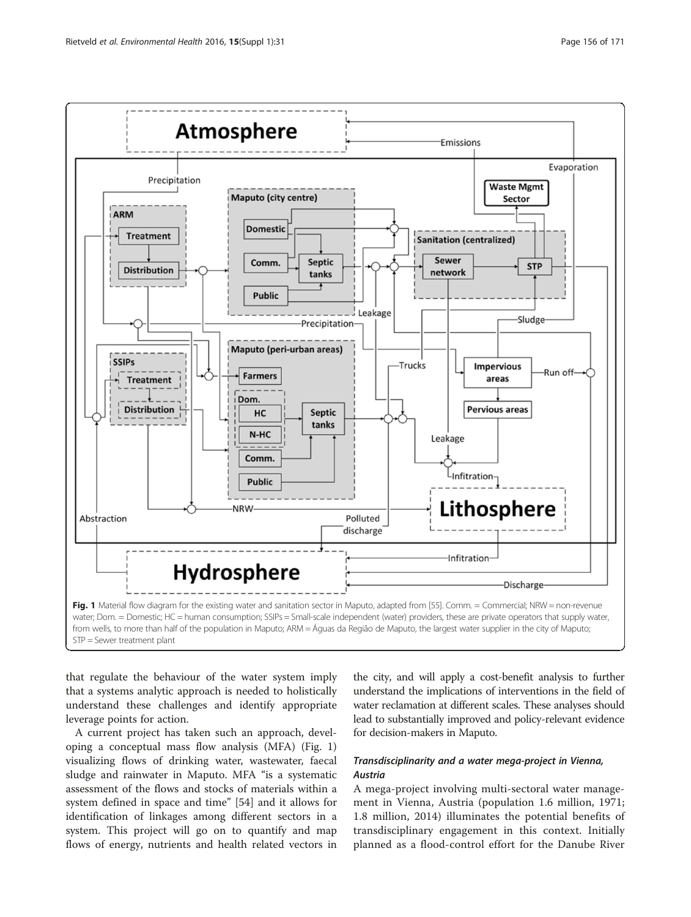

that regulate the behaviour of the water system imply that a systems analytic approach is needed to holistically understand these challenges and identify appropriate leverage points for action.

A current project has taken such an approach, developing a conceptual mass flow analysis (MFA) (Fig. 1) visualizing flows of drinking water, wastewater, faecal sludge and rainwater in Maputo. MFA "is a systematic assessment of the flows and stocks of materials within a system defined in space and time" [[54\]](#page-8-0) and it allows for identification of linkages among different sectors in a system. This project will go on to quantify and map flows of energy, nutrients and health related vectors in

the city, and will apply a cost-benefit analysis to further understand the implications of interventions in the field of water reclamation at different scales. These analyses should lead to substantially improved and policy-relevant evidence for decision-makers in Maputo.

## Transdisciplinarity and a water mega-project in Vienna, Austria

A mega-project involving multi-sectoral water management in Vienna, Austria (population 1.6 million, 1971; 1.8 million, 2014) illuminates the potential benefits of transdisciplinary engagement in this context. Initially planned as a flood-control effort for the Danube River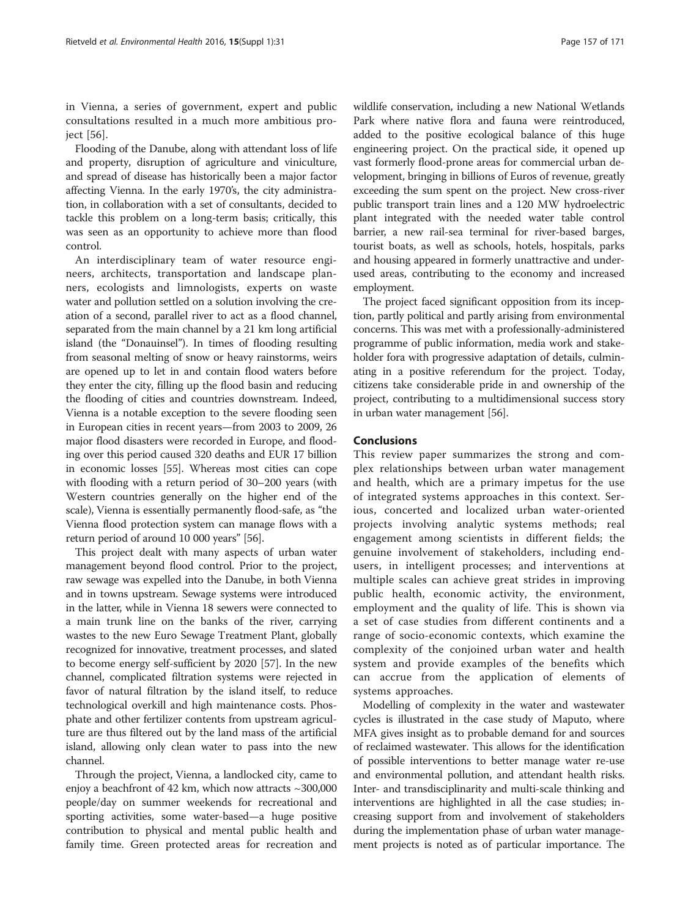in Vienna, a series of government, expert and public consultations resulted in a much more ambitious project [[56\]](#page-8-0).

Flooding of the Danube, along with attendant loss of life and property, disruption of agriculture and viniculture, and spread of disease has historically been a major factor affecting Vienna. In the early 1970's, the city administration, in collaboration with a set of consultants, decided to tackle this problem on a long-term basis; critically, this was seen as an opportunity to achieve more than flood control.

An interdisciplinary team of water resource engineers, architects, transportation and landscape planners, ecologists and limnologists, experts on waste water and pollution settled on a solution involving the creation of a second, parallel river to act as a flood channel, separated from the main channel by a 21 km long artificial island (the "Donauinsel"). In times of flooding resulting from seasonal melting of snow or heavy rainstorms, weirs are opened up to let in and contain flood waters before they enter the city, filling up the flood basin and reducing the flooding of cities and countries downstream. Indeed, Vienna is a notable exception to the severe flooding seen in European cities in recent years—from 2003 to 2009, 26 major flood disasters were recorded in Europe, and flooding over this period caused 320 deaths and EUR 17 billion in economic losses [[55](#page-8-0)]. Whereas most cities can cope with flooding with a return period of 30–200 years (with Western countries generally on the higher end of the scale), Vienna is essentially permanently flood-safe, as "the Vienna flood protection system can manage flows with a return period of around 10 000 years" [\[56\]](#page-8-0).

This project dealt with many aspects of urban water management beyond flood control. Prior to the project, raw sewage was expelled into the Danube, in both Vienna and in towns upstream. Sewage systems were introduced in the latter, while in Vienna 18 sewers were connected to a main trunk line on the banks of the river, carrying wastes to the new Euro Sewage Treatment Plant, globally recognized for innovative, treatment processes, and slated to become energy self-sufficient by 2020 [[57](#page-8-0)]. In the new channel, complicated filtration systems were rejected in favor of natural filtration by the island itself, to reduce technological overkill and high maintenance costs. Phosphate and other fertilizer contents from upstream agriculture are thus filtered out by the land mass of the artificial island, allowing only clean water to pass into the new channel.

Through the project, Vienna, a landlocked city, came to enjoy a beachfront of 42 km, which now attracts ~300,000 people/day on summer weekends for recreational and sporting activities, some water-based—a huge positive contribution to physical and mental public health and family time. Green protected areas for recreation and wildlife conservation, including a new National Wetlands Park where native flora and fauna were reintroduced, added to the positive ecological balance of this huge engineering project. On the practical side, it opened up vast formerly flood-prone areas for commercial urban development, bringing in billions of Euros of revenue, greatly exceeding the sum spent on the project. New cross-river public transport train lines and a 120 MW hydroelectric plant integrated with the needed water table control barrier, a new rail-sea terminal for river-based barges, tourist boats, as well as schools, hotels, hospitals, parks and housing appeared in formerly unattractive and underused areas, contributing to the economy and increased employment.

The project faced significant opposition from its inception, partly political and partly arising from environmental concerns. This was met with a professionally-administered programme of public information, media work and stakeholder fora with progressive adaptation of details, culminating in a positive referendum for the project. Today, citizens take considerable pride in and ownership of the project, contributing to a multidimensional success story in urban water management [\[56](#page-8-0)].

## Conclusions

This review paper summarizes the strong and complex relationships between urban water management and health, which are a primary impetus for the use of integrated systems approaches in this context. Serious, concerted and localized urban water-oriented projects involving analytic systems methods; real engagement among scientists in different fields; the genuine involvement of stakeholders, including endusers, in intelligent processes; and interventions at multiple scales can achieve great strides in improving public health, economic activity, the environment, employment and the quality of life. This is shown via a set of case studies from different continents and a range of socio-economic contexts, which examine the complexity of the conjoined urban water and health system and provide examples of the benefits which can accrue from the application of elements of systems approaches.

Modelling of complexity in the water and wastewater cycles is illustrated in the case study of Maputo, where MFA gives insight as to probable demand for and sources of reclaimed wastewater. This allows for the identification of possible interventions to better manage water re-use and environmental pollution, and attendant health risks. Inter- and transdisciplinarity and multi-scale thinking and interventions are highlighted in all the case studies; increasing support from and involvement of stakeholders during the implementation phase of urban water management projects is noted as of particular importance. The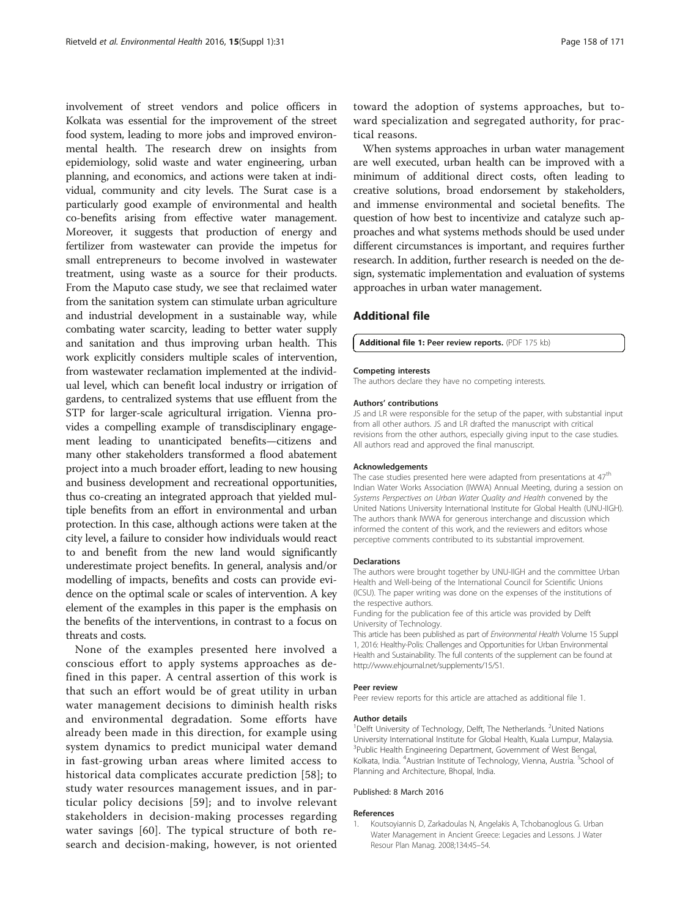<span id="page-7-0"></span>involvement of street vendors and police officers in Kolkata was essential for the improvement of the street food system, leading to more jobs and improved environmental health. The research drew on insights from epidemiology, solid waste and water engineering, urban planning, and economics, and actions were taken at individual, community and city levels. The Surat case is a particularly good example of environmental and health co-benefits arising from effective water management. Moreover, it suggests that production of energy and fertilizer from wastewater can provide the impetus for small entrepreneurs to become involved in wastewater treatment, using waste as a source for their products. From the Maputo case study, we see that reclaimed water from the sanitation system can stimulate urban agriculture and industrial development in a sustainable way, while combating water scarcity, leading to better water supply and sanitation and thus improving urban health. This work explicitly considers multiple scales of intervention, from wastewater reclamation implemented at the individual level, which can benefit local industry or irrigation of gardens, to centralized systems that use effluent from the STP for larger-scale agricultural irrigation. Vienna provides a compelling example of transdisciplinary engagement leading to unanticipated benefits—citizens and many other stakeholders transformed a flood abatement project into a much broader effort, leading to new housing and business development and recreational opportunities, thus co-creating an integrated approach that yielded multiple benefits from an effort in environmental and urban protection. In this case, although actions were taken at the city level, a failure to consider how individuals would react to and benefit from the new land would significantly underestimate project benefits. In general, analysis and/or modelling of impacts, benefits and costs can provide evidence on the optimal scale or scales of intervention. A key element of the examples in this paper is the emphasis on the benefits of the interventions, in contrast to a focus on threats and costs.

None of the examples presented here involved a conscious effort to apply systems approaches as defined in this paper. A central assertion of this work is that such an effort would be of great utility in urban water management decisions to diminish health risks and environmental degradation. Some efforts have already been made in this direction, for example using system dynamics to predict municipal water demand in fast-growing urban areas where limited access to historical data complicates accurate prediction [[58](#page-9-0)]; to study water resources management issues, and in particular policy decisions [[59\]](#page-9-0); and to involve relevant stakeholders in decision-making processes regarding water savings [[60](#page-9-0)]. The typical structure of both research and decision-making, however, is not oriented

toward the adoption of systems approaches, but toward specialization and segregated authority, for practical reasons.

When systems approaches in urban water management are well executed, urban health can be improved with a minimum of additional direct costs, often leading to creative solutions, broad endorsement by stakeholders, and immense environmental and societal benefits. The question of how best to incentivize and catalyze such approaches and what systems methods should be used under different circumstances is important, and requires further research. In addition, further research is needed on the design, systematic implementation and evaluation of systems approaches in urban water management.

## Additional file

### [Additional file 1:](dx.doi.org/10.1186/s12940-016-0107-2) Peer review reports. (PDF 175 kb)

#### Competing interests

The authors declare they have no competing interests.

#### Authors' contributions

JS and LR were responsible for the setup of the paper, with substantial input from all other authors. JS and LR drafted the manuscript with critical revisions from the other authors, especially giving input to the case studies. All authors read and approved the final manuscript.

#### Acknowledgements

The case studies presented here were adapted from presentations at  $47<sup>th</sup>$ Indian Water Works Association (IWWA) Annual Meeting, during a session on Systems Perspectives on Urban Water Quality and Health convened by the United Nations University International Institute for Global Health (UNU-IIGH). The authors thank IWWA for generous interchange and discussion which informed the content of this work, and the reviewers and editors whose perceptive comments contributed to its substantial improvement.

#### Declarations

The authors were brought together by UNU-IIGH and the committee Urban Health and Well-being of the International Council for Scientific Unions (ICSU). The paper writing was done on the expenses of the institutions of the respective authors.

Funding for the publication fee of this article was provided by Delft University of Technology.

This article has been published as part of Environmental Health Volume 15 Suppl 1, 2016: Healthy-Polis: Challenges and Opportunities for Urban Environmental Health and Sustainability. The full contents of the supplement can be found at <http://www.ehjournal.net/supplements/15/S1>.

#### Peer review

Peer review reports for this article are attached as additional file 1.

#### Author details

<sup>1</sup> Delft University of Technology, Delft, The Netherlands. <sup>2</sup> United Nations University International Institute for Global Health, Kuala Lumpur, Malaysia. <sup>3</sup>Public Health Engineering Department, Government of West Bengal, Kolkata, India. <sup>4</sup>Austrian Institute of Technology, Vienna, Austria. <sup>5</sup>School of Planning and Architecture, Bhopal, India.

Published: 8 March 2016

#### References

1. Koutsoyiannis D, Zarkadoulas N, Angelakis A, Tchobanoglous G. Urban Water Management in Ancient Greece: Legacies and Lessons. J Water Resour Plan Manag. 2008;134:45–54.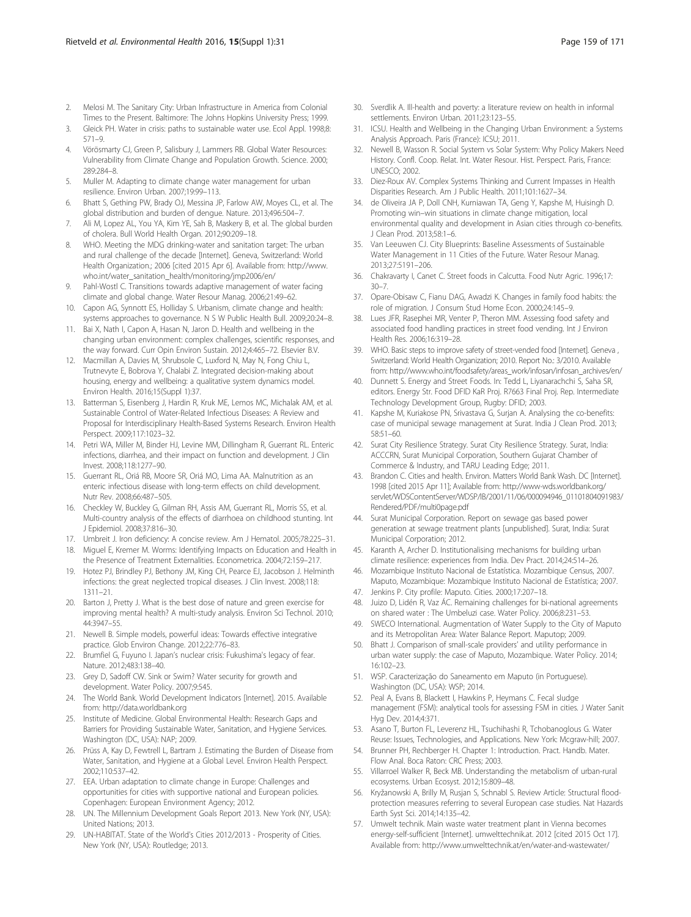- <span id="page-8-0"></span>2. Melosi M. The Sanitary City: Urban Infrastructure in America from Colonial Times to the Present. Baltimore: The Johns Hopkins University Press; 1999.
- 3. Gleick PH. Water in crisis: paths to sustainable water use. Ecol Appl. 1998;8: 571–9.
- 4. Vörösmarty CJ, Green P, Salisbury J, Lammers RB. Global Water Resources: Vulnerability from Climate Change and Population Growth. Science. 2000; 289:284–8.
- 5. Muller M. Adapting to climate change water management for urban resilience. Environ Urban. 2007;19:99–113.
- 6. Bhatt S, Gething PW, Brady OJ, Messina JP, Farlow AW, Moyes CL, et al. The global distribution and burden of dengue. Nature. 2013;496:504–7.
- 7. Ali M, Lopez AL, You YA, Kim YE, Sah B, Maskery B, et al. The global burden of cholera. Bull World Health Organ. 2012;90:209–18.
- 8. WHO. Meeting the MDG drinking-water and sanitation target: The urban and rural challenge of the decade [Internet]. Geneva, Switzerland: World Health Organization.; 2006 [cited 2015 Apr 6]. Available from: [http://www.](http://www.who.int/water_sanitation_health/monitoring/jmp2006/en/) who.int/water\_sanitation\_health/monitoring/imp2006/en/
- Pahl-Wostl C. Transitions towards adaptive management of water facing climate and global change. Water Resour Manag. 2006;21:49–62.
- 10. Capon AG, Synnott ES, Holliday S. Urbanism, climate change and health: systems approaches to governance. N S W Public Health Bull. 2009;20:24–8.
- 11. Bai X, Nath I, Capon A, Hasan N, Jaron D. Health and wellbeing in the changing urban environment: complex challenges, scientific responses, and the way forward. Curr Opin Environ Sustain. 2012;4:465–72. Elsevier B.V.
- 12. Macmillan A, Davies M, Shrubsole C, Luxford N, May N, Fong Chiu L, Trutnevyte E, Bobrova Y, Chalabi Z. Integrated decision-making about housing, energy and wellbeing: a qualitative system dynamics model. Environ Health. 2016;15(Suppl 1):37.
- 13. Batterman S, Eisenberg J, Hardin R, Kruk ME, Lemos MC, Michalak AM, et al. Sustainable Control of Water-Related Infectious Diseases: A Review and Proposal for Interdisciplinary Health-Based Systems Research. Environ Health Perspect. 2009;117:1023–32.
- 14. Petri WA, Miller M, Binder HJ, Levine MM, Dillingham R, Guerrant RL. Enteric infections, diarrhea, and their impact on function and development. J Clin Invest. 2008;118:1277–90.
- 15. Guerrant RL, Oriá RB, Moore SR, Oriá MO, Lima AA. Malnutrition as an enteric infectious disease with long-term effects on child development. Nutr Rev. 2008;66:487–505.
- 16. Checkley W, Buckley G, Gilman RH, Assis AM, Guerrant RL, Morris SS, et al. Multi-country analysis of the effects of diarrhoea on childhood stunting. Int J Epidemiol. 2008;37:816–30.
- 17. Umbreit J. Iron deficiency: A concise review. Am J Hematol. 2005;78:225–31.
- 18. Miguel E, Kremer M. Worms: Identifying Impacts on Education and Health in the Presence of Treatment Externalities. Econometrica. 2004;72:159–217.
- 19. Hotez PJ, Brindley PJ, Bethony JM, King CH, Pearce EJ, Jacobson J. Helminth infections: the great neglected tropical diseases. J Clin Invest. 2008;118: 1311–21.
- 20. Barton J. Pretty J. What is the best dose of nature and green exercise for improving mental health? A multi-study analysis. Environ Sci Technol. 2010; 44:3947–55.
- 21. Newell B. Simple models, powerful ideas: Towards effective integrative practice. Glob Environ Change. 2012;22:776–83.
- 22. Brumfiel G, Fuyuno I. Japan's nuclear crisis: Fukushima's legacy of fear. Nature. 2012;483:138–40.
- 23. Grey D, Sadoff CW. Sink or Swim? Water security for growth and development. Water Policy. 2007;9:545.
- 24. The World Bank. World Development Indicators [Internet]. 2015. Available from: [http://data.worldbank.org](http://data.worldbank.org/)
- 25. Institute of Medicine. Global Environmental Health: Research Gaps and Barriers for Providing Sustainable Water, Sanitation, and Hygiene Services. Washington (DC, USA): NAP; 2009.
- 26. Prüss A, Kay D, Fewtrell L, Bartram J. Estimating the Burden of Disease from Water, Sanitation, and Hygiene at a Global Level. Environ Health Perspect. 2002;110:537–42.
- 27. EEA. Urban adaptation to climate change in Europe: Challenges and opportunities for cities with supportive national and European policies. Copenhagen: European Environment Agency; 2012.
- 28. UN. The Millennium Development Goals Report 2013. New York (NY, USA): United Nations; 2013.
- 29. UN-HABITAT. State of the World's Cities 2012/2013 Prosperity of Cities. New York (NY, USA): Routledge; 2013.
- 30. Sverdlik A. Ill-health and poverty: a literature review on health in informal settlements. Environ Urban. 2011;23:123–55.
- 31. ICSU. Health and Wellbeing in the Changing Urban Environment: a Systems Analysis Approach. Paris (France): ICSU; 2011.
- 32. Newell B, Wasson R. Social System vs Solar System: Why Policy Makers Need History. Confl. Coop. Relat. Int. Water Resour. Hist. Perspect. Paris, France: UNESCO; 2002.
- 33. Diez-Roux AV. Complex Systems Thinking and Current Impasses in Health Disparities Research. Am J Public Health. 2011;101:1627–34.
- 34. de Oliveira JA P, Doll CNH, Kurniawan TA, Geng Y, Kapshe M, Huisingh D. Promoting win–win situations in climate change mitigation, local environmental quality and development in Asian cities through co-benefits. J Clean Prod. 2013;58:1–6.
- 35. Van Leeuwen CJ. City Blueprints: Baseline Assessments of Sustainable Water Management in 11 Cities of the Future. Water Resour Manag. 2013;27:5191–206.
- 36. Chakravarty I, Canet C. Street foods in Calcutta. Food Nutr Agric. 1996;17: 30–7.
- 37. Opare-Obisaw C, Fianu DAG, Awadzi K. Changes in family food habits: the role of migration. J Consum Stud Home Econ. 2000;24:145–9.
- 38. Lues JFR, Rasephei MR, Venter P, Theron MM. Assessing food safety and associated food handling practices in street food vending. Int J Environ Health Res. 2006;16:319–28.
- 39. WHO. Basic steps to improve safety of street-vended food [Internet]. Geneva , Switzerland: World Health Organization; 2010. Report No.: 3/2010. Available from: [http://www.who.int/foodsafety/areas\\_work/infosan/infosan\\_archives/en/](http://www.who.int/foodsafety/areas_work/infosan/infosan_archives/en/)
- 40. Dunnett S. Energy and Street Foods. In: Tedd L, Liyanarachchi S, Saha SR, editors. Energy Str. Food DFID KaR Proj. R7663 Final Proj. Rep. Intermediate Technology Development Group, Rugby: DFID; 2003.
- 41. Kapshe M, Kuriakose PN, Srivastava G, Surjan A. Analysing the co-benefits: case of municipal sewage management at Surat. India J Clean Prod. 2013; 58:51–60.
- 42. Surat City Resilience Strategy. Surat City Resilience Strategy. Surat, India: ACCCRN, Surat Municipal Corporation, Southern Gujarat Chamber of Commerce & Industry, and TARU Leading Edge; 2011.
- Brandon C. Cities and health. Environ. Matters World Bank Wash. DC [Internet]. 1998 [cited 2015 Apr 11]; Available from: [http://www-wds.worldbank.org/](http://www-wds.worldbank.org/servlet/WDSContentServer/WDSP/IB/2001/11/06/000094946_01101804091983/Rendered/PDF/multi0page.pdf) [servlet/WDSContentServer/WDSP/IB/2001/11/06/000094946\\_01101804091983/](http://www-wds.worldbank.org/servlet/WDSContentServer/WDSP/IB/2001/11/06/000094946_01101804091983/Rendered/PDF/multi0page.pdf) [Rendered/PDF/multi0page.pdf](http://www-wds.worldbank.org/servlet/WDSContentServer/WDSP/IB/2001/11/06/000094946_01101804091983/Rendered/PDF/multi0page.pdf)
- 44. Surat Municipal Corporation. Report on sewage gas based power generation at sewage treatment plants [unpublished]. Surat, India: Surat Municipal Corporation; 2012.
- 45. Karanth A, Archer D. Institutionalising mechanisms for building urban climate resilience: experiences from India. Dev Pract. 2014;24:514–26.
- 46. Mozambique Instituto Nacional de Estatística. Mozambique Census, 2007. Maputo, Mozambique: Mozambique Instituto Nacional de Estatística; 2007.
- 47. Jenkins P. City profile: Maputo. Cities. 2000;17:207–18.
- 48. Juizo D, Lidén R, Vaz ÁC. Remaining challenges for bi-national agreements on shared water : The Umbeluzi case. Water Policy. 2006;8:231–53.
- 49. SWECO International. Augmentation of Water Supply to the City of Maputo and its Metropolitan Area: Water Balance Report. Maputop; 2009.
- 50. Bhatt J. Comparison of small-scale providers' and utility performance in urban water supply: the case of Maputo, Mozambique. Water Policy. 2014; 16:102–23.
- 51. WSP. Caracterização do Saneamento em Maputo (in Portuguese). Washington (DC, USA): WSP; 2014.
- 52. Peal A, Evans B, Blackett I, Hawkins P, Heymans C. Fecal sludge management (FSM): analytical tools for assessing FSM in cities. J Water Sanit Hyg Dev. 2014;4:371.
- 53. Asano T, Burton FL, Leverenz HL, Tsuchihashi R, Tchobanoglous G. Water Reuse: Issues, Technologies, and Applications. New York: Mcgraw-hill; 2007.
- 54. Brunner PH, Rechberger H. Chapter 1: Introduction. Pract. Handb. Mater. Flow Anal. Boca Raton: CRC Press; 2003.
- 55. Villarroel Walker R, Beck MB. Understanding the metabolism of urban-rural ecosystems. Urban Ecosyst. 2012;15:809–48.
- 56. Kryžanowski A, Brilly M, Rusjan S, Schnabl S. Review Article: Structural floodprotection measures referring to several European case studies. Nat Hazards Earth Syst Sci. 2014;14:135–42.
- 57. Umwelt technik. Main waste water treatment plant in Vienna becomes energy-self-sufficient [Internet]. umwelttechnik.at. 2012 [cited 2015 Oct 17]. Available from: [http://www.umwelttechnik.at/en/water-and-wastewater/](http://www.umwelttechnik.at/en/water-and-wastewater/wastewater-management/good-practise/main-waste-water-treatment-plant-in-vienna-becomes-energy-self-sufficient/)